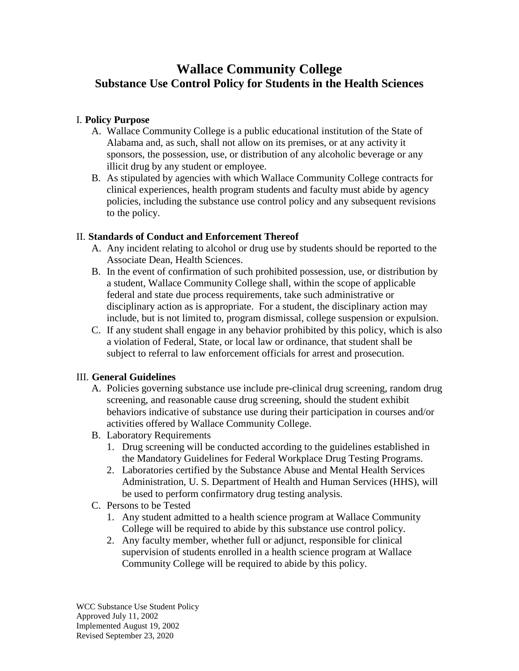# **Wallace Community College Substance Use Control Policy for Students in the Health Sciences**

### I. **Policy Purpose**

- A. Wallace Community College is a public educational institution of the State of Alabama and, as such, shall not allow on its premises, or at any activity it sponsors, the possession, use, or distribution of any alcoholic beverage or any illicit drug by any student or employee.
- B. As stipulated by agencies with which Wallace Community College contracts for clinical experiences, health program students and faculty must abide by agency policies, including the substance use control policy and any subsequent revisions to the policy.

## II. **Standards of Conduct and Enforcement Thereof**

- A. Any incident relating to alcohol or drug use by students should be reported to the Associate Dean, Health Sciences.
- B. In the event of confirmation of such prohibited possession, use, or distribution by a student, Wallace Community College shall, within the scope of applicable federal and state due process requirements, take such administrative or disciplinary action as is appropriate. For a student, the disciplinary action may include, but is not limited to, program dismissal, college suspension or expulsion.
- C. If any student shall engage in any behavior prohibited by this policy, which is also a violation of Federal, State, or local law or ordinance, that student shall be subject to referral to law enforcement officials for arrest and prosecution.

### III. **General Guidelines**

- A. Policies governing substance use include pre-clinical drug screening, random drug screening, and reasonable cause drug screening, should the student exhibit behaviors indicative of substance use during their participation in courses and/or activities offered by Wallace Community College.
- B. Laboratory Requirements
	- 1. Drug screening will be conducted according to the guidelines established in the Mandatory Guidelines for Federal Workplace Drug Testing Programs.
	- 2. Laboratories certified by the Substance Abuse and Mental Health Services Administration, U. S. Department of Health and Human Services (HHS), will be used to perform confirmatory drug testing analysis.
- C. Persons to be Tested
	- 1. Any student admitted to a health science program at Wallace Community College will be required to abide by this substance use control policy.
	- 2. Any faculty member, whether full or adjunct, responsible for clinical supervision of students enrolled in a health science program at Wallace Community College will be required to abide by this policy.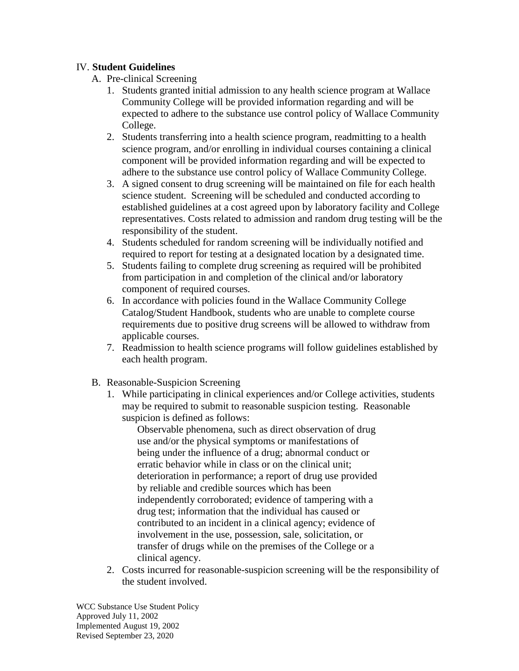## IV. **Student Guidelines**

- A. Pre-clinical Screening
	- 1. Students granted initial admission to any health science program at Wallace Community College will be provided information regarding and will be expected to adhere to the substance use control policy of Wallace Community College.
	- 2. Students transferring into a health science program, readmitting to a health science program, and/or enrolling in individual courses containing a clinical component will be provided information regarding and will be expected to adhere to the substance use control policy of Wallace Community College.
	- 3. A signed consent to drug screening will be maintained on file for each health science student. Screening will be scheduled and conducted according to established guidelines at a cost agreed upon by laboratory facility and College representatives. Costs related to admission and random drug testing will be the responsibility of the student.
	- 4. Students scheduled for random screening will be individually notified and required to report for testing at a designated location by a designated time.
	- 5. Students failing to complete drug screening as required will be prohibited from participation in and completion of the clinical and/or laboratory component of required courses.
	- 6. In accordance with policies found in the Wallace Community College Catalog/Student Handbook, students who are unable to complete course requirements due to positive drug screens will be allowed to withdraw from applicable courses.
	- 7. Readmission to health science programs will follow guidelines established by each health program.
- B. Reasonable-Suspicion Screening
	- 1. While participating in clinical experiences and/or College activities, students may be required to submit to reasonable suspicion testing. Reasonable suspicion is defined as follows:

Observable phenomena, such as direct observation of drug use and/or the physical symptoms or manifestations of being under the influence of a drug; abnormal conduct or erratic behavior while in class or on the clinical unit; deterioration in performance; a report of drug use provided by reliable and credible sources which has been independently corroborated; evidence of tampering with a drug test; information that the individual has caused or contributed to an incident in a clinical agency; evidence of involvement in the use, possession, sale, solicitation, or transfer of drugs while on the premises of the College or a clinical agency.

2. Costs incurred for reasonable-suspicion screening will be the responsibility of the student involved.

WCC Substance Use Student Policy Approved July 11, 2002 Implemented August 19, 2002 Revised September 23, 2020